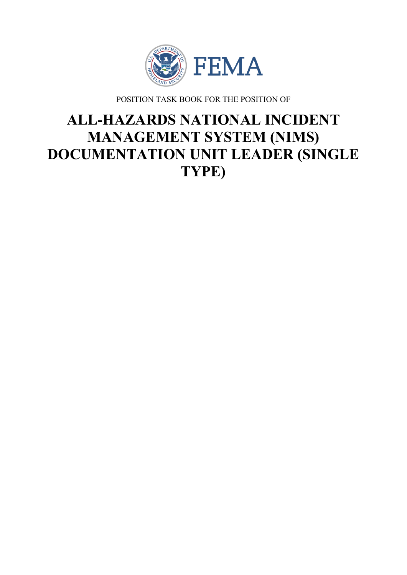

POSITION TASK BOOK FOR THE POSITION OF

# **ALL-HAZARDS NATIONAL INCIDENT MANAGEMENT SYSTEM (NIMS) DOCUMENTATION UNIT LEADER (SINGLE TYPE)**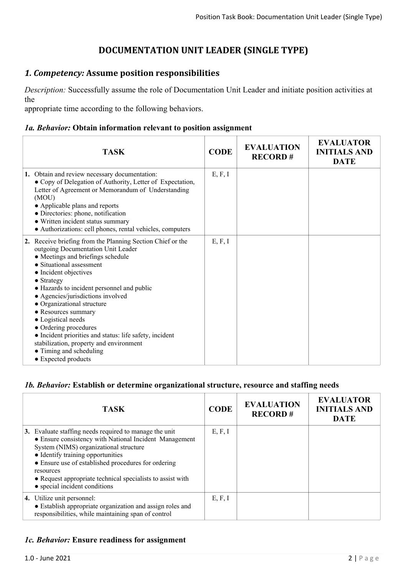# **DOCUMENTATION UNIT LEADER (SINGLE TYPE)**

## *1. Competency:* **Assume position responsibilities**

*Description:* Successfully assume the role of Documentation Unit Leader and initiate position activities at the

appropriate time according to the following behaviors.

#### *1a. Behavior:* **Obtain information relevant to position assignment**

| <b>TASK</b>                                                                                                                                                                                                                                                                                                                                                                                                                                                                                                                                             | <b>CODE</b> | <b>EVALUATION</b><br><b>RECORD#</b> | <b>EVALUATOR</b><br><b>INITIALS AND</b><br><b>DATE</b> |
|---------------------------------------------------------------------------------------------------------------------------------------------------------------------------------------------------------------------------------------------------------------------------------------------------------------------------------------------------------------------------------------------------------------------------------------------------------------------------------------------------------------------------------------------------------|-------------|-------------------------------------|--------------------------------------------------------|
| 1. Obtain and review necessary documentation:<br>• Copy of Delegation of Authority, Letter of Expectation,<br>Letter of Agreement or Memorandum of Understanding<br>(MOU)<br>• Applicable plans and reports<br>• Directories: phone, notification<br>• Written incident status summary<br>• Authorizations: cell phones, rental vehicles, computers                                                                                                                                                                                                     | E, F, I     |                                     |                                                        |
| 2. Receive briefing from the Planning Section Chief or the<br>outgoing Documentation Unit Leader<br>• Meetings and briefings schedule<br>• Situational assessment<br>• Incident objectives<br>• Strategy<br>• Hazards to incident personnel and public<br>• Agencies/jurisdictions involved<br>• Organizational structure<br>• Resources summary<br>• Logistical needs<br>• Ordering procedures<br>• Incident priorities and status: life safety, incident<br>stabilization, property and environment<br>• Timing and scheduling<br>• Expected products | E, F, I     |                                     |                                                        |

#### *1b. Behavior:* **Establish or determine organizational structure, resource and staffing needs**

| <b>TASK</b>                                                                                                                                                                                                                                                                                                                                                        | <b>CODE</b> | <b>EVALUATION</b><br><b>RECORD#</b> | <b>EVALUATOR</b><br><b>INITIALS AND</b><br><b>DATE</b> |
|--------------------------------------------------------------------------------------------------------------------------------------------------------------------------------------------------------------------------------------------------------------------------------------------------------------------------------------------------------------------|-------------|-------------------------------------|--------------------------------------------------------|
| 3. Evaluate staffing needs required to manage the unit<br>• Ensure consistency with National Incident Management<br>System (NIMS) organizational structure<br>• Identify training opportunities<br>• Ensure use of established procedures for ordering<br>resources<br>• Request appropriate technical specialists to assist with<br>• special incident conditions | E, F, I     |                                     |                                                        |
| 4. Utilize unit personnel:<br>• Establish appropriate organization and assign roles and<br>responsibilities, while maintaining span of control                                                                                                                                                                                                                     | E, F, I     |                                     |                                                        |

#### *1c. Behavior:* **Ensure readiness for assignment**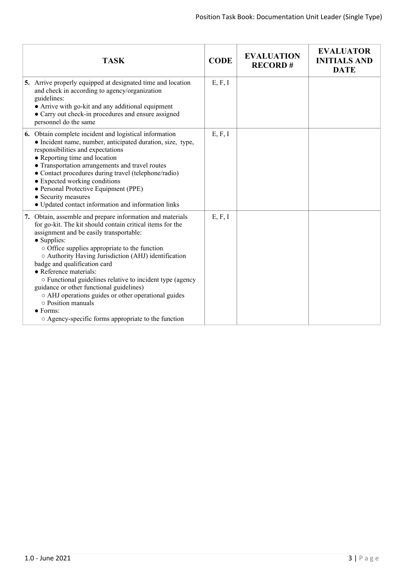| <b>TASK</b>                                                                                                                                                                                                                                                                                                                                                                                                                                                                                                                                                                                                                | <b>CODE</b> | <b>EVALUATION</b><br><b>RECORD#</b> | <b>EVALUATOR</b><br><b>INITIALS AND</b><br><b>DATE</b> |
|----------------------------------------------------------------------------------------------------------------------------------------------------------------------------------------------------------------------------------------------------------------------------------------------------------------------------------------------------------------------------------------------------------------------------------------------------------------------------------------------------------------------------------------------------------------------------------------------------------------------------|-------------|-------------------------------------|--------------------------------------------------------|
| 5. Arrive properly equipped at designated time and location<br>and check in according to agency/organization<br>guidelines:<br>• Arrive with go-kit and any additional equipment<br>• Carry out check-in procedures and ensure assigned<br>personnel do the same                                                                                                                                                                                                                                                                                                                                                           | E, F, I     |                                     |                                                        |
| 6. Obtain complete incident and logistical information<br>• Incident name, number, anticipated duration, size, type,<br>responsibilities and expectations<br>• Reporting time and location<br>• Transportation arrangements and travel routes<br>• Contact procedures during travel (telephone/radio)<br>• Expected working conditions<br>• Personal Protective Equipment (PPE)<br>• Security measures<br>• Updated contact information and information links                                                                                                                                                              | E, F, I     |                                     |                                                        |
| 7. Obtain, assemble and prepare information and materials<br>for go-kit. The kit should contain critical items for the<br>assignment and be easily transportable:<br>• Supplies:<br>$\circ$ Office supplies appropriate to the function<br>○ Authority Having Jurisdiction (AHJ) identification<br>badge and qualification card<br>• Reference materials:<br>o Functional guidelines relative to incident type (agency<br>guidance or other functional guidelines)<br>o AHJ operations guides or other operational guides<br>o Position manuals<br>$\bullet$ Forms:<br>○ Agency-specific forms appropriate to the function | E, F, I     |                                     |                                                        |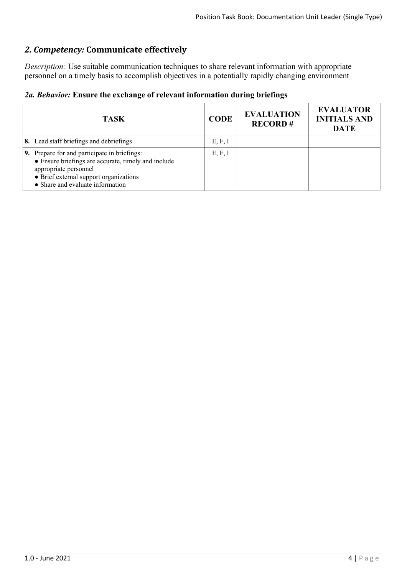# *2. Competency:* **Communicate effectively**

*Description:* Use suitable communication techniques to share relevant information with appropriate personnel on a timely basis to accomplish objectives in a potentially rapidly changing environment

|  |  |  |  |  | 2a. Behavior: Ensure the exchange of relevant information during briefings |  |  |
|--|--|--|--|--|----------------------------------------------------------------------------|--|--|
|--|--|--|--|--|----------------------------------------------------------------------------|--|--|

| <b>TASK</b>                                                                                                                                                                                                | <b>CODE</b> | <b>EVALUATION</b><br><b>RECORD#</b> | <b>EVALUATOR</b><br><b>INITIALS AND</b><br><b>DATE</b> |
|------------------------------------------------------------------------------------------------------------------------------------------------------------------------------------------------------------|-------------|-------------------------------------|--------------------------------------------------------|
| 8. Lead staff briefings and debriefings                                                                                                                                                                    | E, F, I     |                                     |                                                        |
| 9. Prepare for and participate in briefings:<br>• Ensure briefings are accurate, timely and include<br>appropriate personnel<br>• Brief external support organizations<br>• Share and evaluate information | E, F, I     |                                     |                                                        |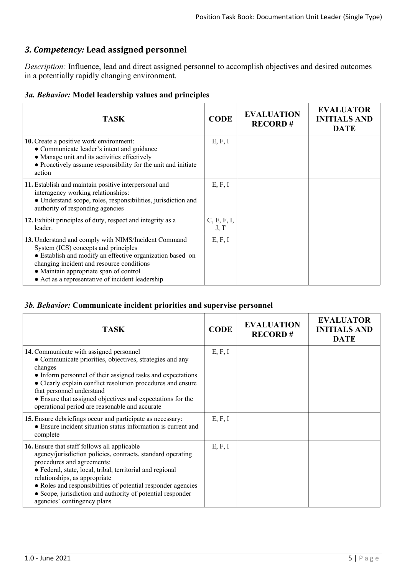# *3. Competency:* **Lead assigned personnel**

*Description:* Influence, lead and direct assigned personnel to accomplish objectives and desired outcomes in a potentially rapidly changing environment.

| <b>TASK</b>                                                                                                                                                                                                                                                                                          | <b>CODE</b>         | <b>EVALUATION</b><br><b>RECORD#</b> | <b>EVALUATOR</b><br><b>INITIALS AND</b><br><b>DATE</b> |
|------------------------------------------------------------------------------------------------------------------------------------------------------------------------------------------------------------------------------------------------------------------------------------------------------|---------------------|-------------------------------------|--------------------------------------------------------|
| 10. Create a positive work environment:<br>• Communicate leader's intent and guidance<br>• Manage unit and its activities effectively<br>• Proactively assume responsibility for the unit and initiate<br>action                                                                                     | E, F, I             |                                     |                                                        |
| 11. Establish and maintain positive interpersonal and<br>interagency working relationships:<br>· Understand scope, roles, responsibilities, jurisdiction and<br>authority of responding agencies                                                                                                     | E, F, I             |                                     |                                                        |
| 12. Exhibit principles of duty, respect and integrity as a<br>leader.                                                                                                                                                                                                                                | C, E, F, I,<br>J, T |                                     |                                                        |
| 13. Understand and comply with NIMS/Incident Command<br>System (ICS) concepts and principles<br>• Establish and modify an effective organization based on<br>changing incident and resource conditions<br>• Maintain appropriate span of control<br>• Act as a representative of incident leadership | E, F, I             |                                     |                                                        |

#### *3b. Behavior:* **Communicate incident priorities and supervise personnel**

| <b>TASK</b>                                                                                                                                                                                                                                                                                                                                                                                          | <b>CODE</b> | <b>EVALUATION</b><br><b>RECORD#</b> | <b>EVALUATOR</b><br><b>INITIALS AND</b><br><b>DATE</b> |
|------------------------------------------------------------------------------------------------------------------------------------------------------------------------------------------------------------------------------------------------------------------------------------------------------------------------------------------------------------------------------------------------------|-------------|-------------------------------------|--------------------------------------------------------|
| 14. Communicate with assigned personnel<br>• Communicate priorities, objectives, strategies and any<br>changes<br>• Inform personnel of their assigned tasks and expectations<br>• Clearly explain conflict resolution procedures and ensure<br>that personnel understand<br>• Ensure that assigned objectives and expectations for the<br>operational period are reasonable and accurate            | E, F, I     |                                     |                                                        |
| 15. Ensure debriefings occur and participate as necessary:<br>• Ensure incident situation status information is current and<br>complete                                                                                                                                                                                                                                                              | E, F, I     |                                     |                                                        |
| 16. Ensure that staff follows all applicable<br>agency/jurisdiction policies, contracts, standard operating<br>procedures and agreements:<br>• Federal, state, local, tribal, territorial and regional<br>relationships, as appropriate<br>• Roles and responsibilities of potential responder agencies<br>• Scope, jurisdiction and authority of potential responder<br>agencies' contingency plans |             |                                     |                                                        |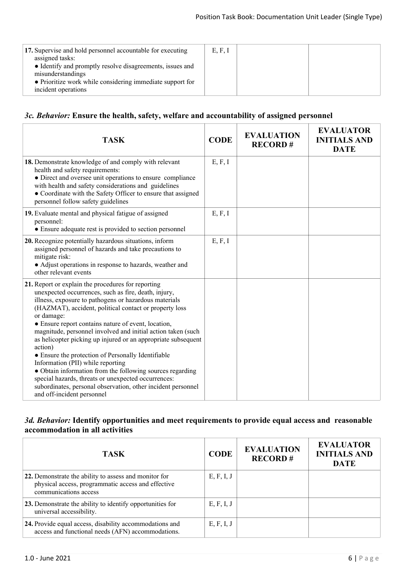#### *3c. Behavior:* **Ensure the health, safety, welfare and accountability of assigned personnel**

| <b>TASK</b>                                                                                                                                                                                                                                                                                                                                                                                                                                                                                                                                                                                                                                                                                                                                                 | <b>CODE</b> | <b>EVALUATION</b><br><b>RECORD#</b> | <b>EVALUATOR</b><br><b>INITIALS AND</b><br><b>DATE</b> |
|-------------------------------------------------------------------------------------------------------------------------------------------------------------------------------------------------------------------------------------------------------------------------------------------------------------------------------------------------------------------------------------------------------------------------------------------------------------------------------------------------------------------------------------------------------------------------------------------------------------------------------------------------------------------------------------------------------------------------------------------------------------|-------------|-------------------------------------|--------------------------------------------------------|
| 18. Demonstrate knowledge of and comply with relevant<br>health and safety requirements:<br>• Direct and oversee unit operations to ensure compliance<br>with health and safety considerations and guidelines<br>• Coordinate with the Safety Officer to ensure that assigned<br>personnel follow safety guidelines                                                                                                                                                                                                                                                                                                                                                                                                                                         | E, F, I     |                                     |                                                        |
| 19. Evaluate mental and physical fatigue of assigned<br>personnel:<br>• Ensure adequate rest is provided to section personnel                                                                                                                                                                                                                                                                                                                                                                                                                                                                                                                                                                                                                               | E, F, I     |                                     |                                                        |
| 20. Recognize potentially hazardous situations, inform<br>assigned personnel of hazards and take precautions to<br>mitigate risk:<br>• Adjust operations in response to hazards, weather and<br>other relevant events                                                                                                                                                                                                                                                                                                                                                                                                                                                                                                                                       | E, F, I     |                                     |                                                        |
| 21. Report or explain the procedures for reporting<br>unexpected occurrences, such as fire, death, injury,<br>illness, exposure to pathogens or hazardous materials<br>(HAZMAT), accident, political contact or property loss<br>or damage:<br>• Ensure report contains nature of event, location,<br>magnitude, personnel involved and initial action taken (such<br>as helicopter picking up injured or an appropriate subsequent<br>action)<br>• Ensure the protection of Personally Identifiable<br>Information (PII) while reporting<br>• Obtain information from the following sources regarding<br>special hazards, threats or unexpected occurrences:<br>subordinates, personal observation, other incident personnel<br>and off-incident personnel |             |                                     |                                                        |

#### *3d. Behavior:* **Identify opportunities and meet requirements to provide equal access and reasonable accommodation in all activities**

| <b>TASK</b>                                                                                                                          | <b>CODE</b> | <b>EVALUATION</b><br><b>RECORD#</b> | <b>EVALUATOR</b><br><b>INITIALS AND</b><br><b>DATE</b> |
|--------------------------------------------------------------------------------------------------------------------------------------|-------------|-------------------------------------|--------------------------------------------------------|
| 22. Demonstrate the ability to assess and monitor for<br>physical access, programmatic access and effective<br>communications access | E, F, I, J  |                                     |                                                        |
| 23. Demonstrate the ability to identify opportunities for<br>universal accessibility.                                                | E, F, I, J  |                                     |                                                        |
| 24. Provide equal access, disability accommodations and<br>access and functional needs (AFN) accommodations.                         | E, F, I, J  |                                     |                                                        |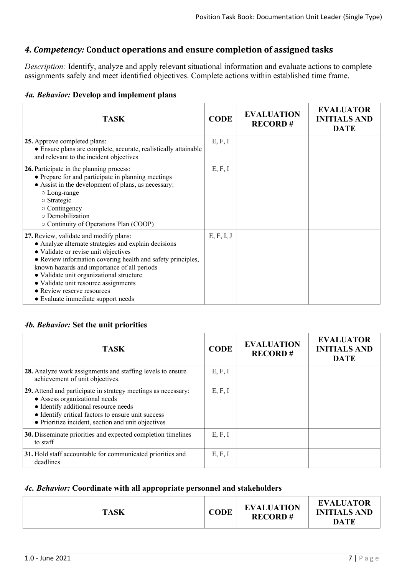## *4. Competency:* **Conduct operations and ensure completion of assigned tasks**

*Description:* Identify, analyze and apply relevant situational information and evaluate actions to complete assignments safely and meet identified objectives. Complete actions within established time frame.

|  |  |  |  | 4a. Behavior: Develop and implement plans |
|--|--|--|--|-------------------------------------------|
|--|--|--|--|-------------------------------------------|

| <b>TASK</b>                                                                                                                                                                                                                                                                                                                                                                                                  | <b>CODE</b> | <b>EVALUATION</b><br><b>RECORD#</b> | <b>EVALUATOR</b><br><b>INITIALS AND</b><br><b>DATE</b> |
|--------------------------------------------------------------------------------------------------------------------------------------------------------------------------------------------------------------------------------------------------------------------------------------------------------------------------------------------------------------------------------------------------------------|-------------|-------------------------------------|--------------------------------------------------------|
| 25. Approve completed plans:<br>• Ensure plans are complete, accurate, realistically attainable<br>and relevant to the incident objectives                                                                                                                                                                                                                                                                   | E, F, I     |                                     |                                                        |
| 26. Participate in the planning process:<br>• Prepare for and participate in planning meetings<br>• Assist in the development of plans, as necessary:<br>○ Long-range<br>$\circ$ Strategic<br>$\circ$ Contingency<br>o Demobilization<br>○ Continuity of Operations Plan (COOP)                                                                                                                              | E, F, I     |                                     |                                                        |
| 27. Review, validate and modify plans:<br>• Analyze alternate strategies and explain decisions<br>• Validate or revise unit objectives<br>• Review information covering health and safety principles,<br>known hazards and importance of all periods<br>· Validate unit organizational structure<br>• Validate unit resource assignments<br>• Review reserve resources<br>• Evaluate immediate support needs | E, F, I, J  |                                     |                                                        |

#### *4b. Behavior:* **Set the unit priorities**

| TASK.                                                                                                                                                                                                                                              | <b>CODE</b> | <b>EVALUATION</b><br><b>RECORD#</b> | <b>EVALUATOR</b><br><b>INITIALS AND</b><br><b>DATE</b> |
|----------------------------------------------------------------------------------------------------------------------------------------------------------------------------------------------------------------------------------------------------|-------------|-------------------------------------|--------------------------------------------------------|
| 28. Analyze work assignments and staffing levels to ensure<br>achievement of unit objectives.                                                                                                                                                      | E, F, I     |                                     |                                                        |
| 29. Attend and participate in strategy meetings as necessary:<br>• Assess organizational needs<br>• Identify additional resource needs<br>• Identify critical factors to ensure unit success<br>• Prioritize incident, section and unit objectives | E, F, I     |                                     |                                                        |
| 30. Disseminate priorities and expected completion timelines<br>to staff                                                                                                                                                                           | E, F, I     |                                     |                                                        |
| 31. Hold staff accountable for communicated priorities and<br>deadlines                                                                                                                                                                            | E, F, I     |                                     |                                                        |

#### *4c. Behavior:* **Coordinate with all appropriate personnel and stakeholders**

|  | <b>TASK</b> | <b>CODE</b> | <b>EVALUATION</b><br><b>RECORD#</b> | <b>EVALUATOR</b><br><b>INITIALS AND</b><br><b>DATE</b> |
|--|-------------|-------------|-------------------------------------|--------------------------------------------------------|
|--|-------------|-------------|-------------------------------------|--------------------------------------------------------|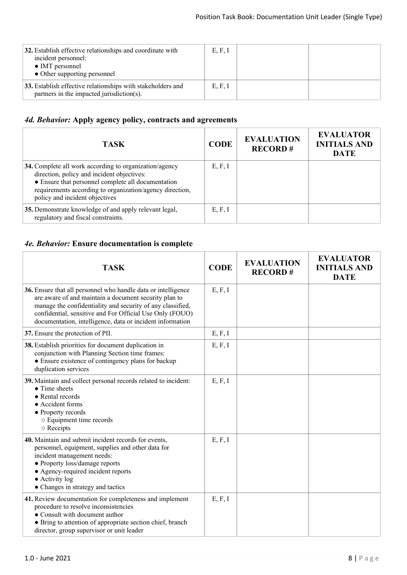| 32. Establish effective relationships and coordinate with<br>incident personnel:<br>• IMT personnel<br>• Other supporting personnel | E, F, I |  |
|-------------------------------------------------------------------------------------------------------------------------------------|---------|--|
| 33. Establish effective relationships with stakeholders and<br>partners in the impacted jurisdiction(s).                            | E, F, I |  |

# *4d. Behavior:* **Apply agency policy, contracts and agreements**

| <b>TASK</b>                                                                                                                                                                                                                                              | <b>CODE</b> | <b>EVALUATION</b><br><b>RECORD#</b> | <b>EVALUATOR</b><br><b>INITIALS AND</b><br><b>DATE</b> |
|----------------------------------------------------------------------------------------------------------------------------------------------------------------------------------------------------------------------------------------------------------|-------------|-------------------------------------|--------------------------------------------------------|
| 34. Complete all work according to organization/agency<br>direction, policy and incident objectives:<br>• Ensure that personnel complete all documentation<br>requirements according to organization/agency direction,<br>policy and incident objectives | E, F, I     |                                     |                                                        |
| 35. Demonstrate knowledge of and apply relevant legal,<br>regulatory and fiscal constraints.                                                                                                                                                             | E, F, I     |                                     |                                                        |

## *4e. Behavior:* **Ensure documentation is complete**

| <b>TASK</b>                                                                                                                                                                                                                                                                                                   | <b>CODE</b> | <b>EVALUATION</b><br><b>RECORD#</b> | <b>EVALUATOR</b><br><b>INITIALS AND</b><br><b>DATE</b> |
|---------------------------------------------------------------------------------------------------------------------------------------------------------------------------------------------------------------------------------------------------------------------------------------------------------------|-------------|-------------------------------------|--------------------------------------------------------|
| 36. Ensure that all personnel who handle data or intelligence<br>are aware of and maintain a document security plan to<br>manage the confidentiality and security of any classified,<br>confidential, sensitive and For Official Use Only (FOUO)<br>documentation, intelligence, data or incident information | E, F, I     |                                     |                                                        |
| 37. Ensure the protection of PII.                                                                                                                                                                                                                                                                             | E, F, I     |                                     |                                                        |
| 38. Establish priorities for document duplication in<br>conjunction with Planning Section time frames:<br>• Ensure existence of contingency plans for backup<br>duplication services                                                                                                                          | E, F, I     |                                     |                                                        |
| 39. Maintain and collect personal records related to incident:<br>$\bullet$ Time sheets<br>• Rental records<br>• Accident forms<br>• Property records<br>○ Equipment time records<br>o Receipts                                                                                                               | E, F, I     |                                     |                                                        |
| 40. Maintain and submit incident records for events,<br>personnel, equipment, supplies and other data for<br>incident management needs:<br>• Property loss/damage reports<br>• Agency-required incident reports<br>$\bullet$ Activity log<br>• Changes in strategy and tactics                                | E, F, I     |                                     |                                                        |
| 41. Review documentation for completeness and implement<br>procedure to resolve inconsistencies<br>• Consult with document author<br>• Bring to attention of appropriate section chief, branch<br>director, group supervisor or unit leader                                                                   | E, F, I     |                                     |                                                        |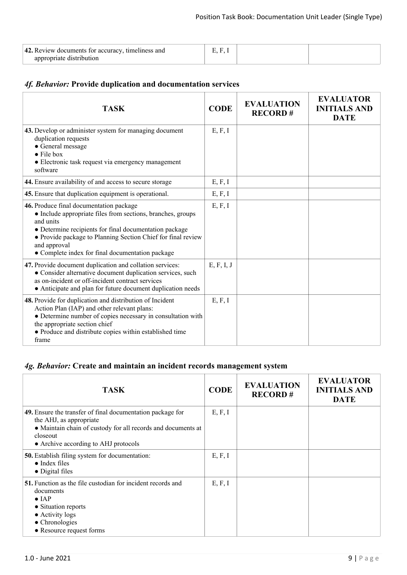| 42. Review documents for accuracy, timeliness and |  |  |
|---------------------------------------------------|--|--|
| appropriate distribution                          |  |  |

## *4f. Behavior:* **Provide duplication and documentation services**

| <b>TASK</b>                                                                                                                                                                                                                                                                                                       | <b>CODE</b> | <b>EVALUATION</b><br><b>RECORD#</b> | <b>EVALUATOR</b><br><b>INITIALS AND</b><br><b>DATE</b> |
|-------------------------------------------------------------------------------------------------------------------------------------------------------------------------------------------------------------------------------------------------------------------------------------------------------------------|-------------|-------------------------------------|--------------------------------------------------------|
| 43. Develop or administer system for managing document<br>duplication requests<br>• General message<br>$\bullet$ File box<br>• Electronic task request via emergency management<br>software                                                                                                                       | E, F, I     |                                     |                                                        |
| 44. Ensure availability of and access to secure storage                                                                                                                                                                                                                                                           | E, F, I     |                                     |                                                        |
| 45. Ensure that duplication equipment is operational.                                                                                                                                                                                                                                                             | E, F, I     |                                     |                                                        |
| 46. Produce final documentation package<br>• Include appropriate files from sections, branches, groups<br>and units<br>• Determine recipients for final documentation package<br>• Provide package to Planning Section Chief for final review<br>and approval<br>• Complete index for final documentation package | E, F, I     |                                     |                                                        |
| 47. Provide document duplication and collation services:<br>• Consider alternative document duplication services, such<br>as on-incident or off-incident contract services<br>• Anticipate and plan for future document duplication needs                                                                         | E, F, I, J  |                                     |                                                        |
| 48. Provide for duplication and distribution of Incident<br>Action Plan (IAP) and other relevant plans:<br>• Determine number of copies necessary in consultation with<br>the appropriate section chief<br>• Produce and distribute copies within established time<br>frame                                       | E, F, I     |                                     |                                                        |

## *4g. Behavior:* **Create and maintain an incident records management system**

| <b>TASK</b>                                                                                                                                                                                               | <b>CODE</b> | <b>EVALUATION</b><br><b>RECORD#</b> | <b>EVALUATOR</b><br><b>INITIALS AND</b><br><b>DATE</b> |
|-----------------------------------------------------------------------------------------------------------------------------------------------------------------------------------------------------------|-------------|-------------------------------------|--------------------------------------------------------|
| 49. Ensure the transfer of final documentation package for<br>the AHJ, as appropriate<br>• Maintain chain of custody for all records and documents at<br>closeout<br>• Archive according to AHJ protocols | E, F, I     |                                     |                                                        |
| <b>50.</b> Establish filing system for documentation:<br>$\bullet$ Index files<br>• Digital files                                                                                                         | E, F, I     |                                     |                                                        |
| <b>51.</b> Function as the file custodian for incident records and<br>documents<br>$\bullet$ IAP<br>• Situation reports<br>• Activity logs<br>$\bullet$ Chronologies<br>• Resource request forms          | E, F, I     |                                     |                                                        |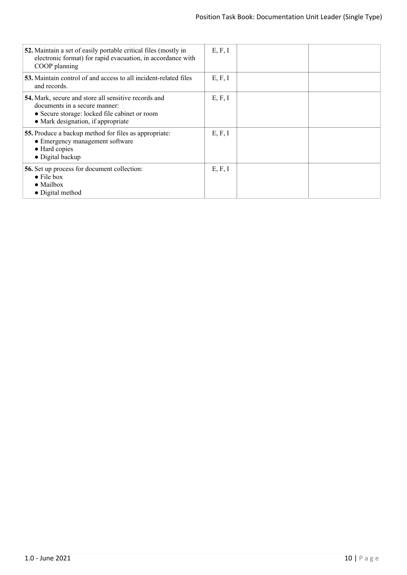| 52. Maintain a set of easily portable critical files (mostly in<br>electronic format) for rapid evacuation, in accordance with<br>COOP planning                              | E, F, I |  |
|------------------------------------------------------------------------------------------------------------------------------------------------------------------------------|---------|--|
| 53. Maintain control of and access to all incident-related files<br>and records.                                                                                             | E, F, I |  |
| 54. Mark, secure and store all sensitive records and<br>documents in a secure manner:<br>• Secure storage: locked file cabinet or room<br>• Mark designation, if appropriate | E, F, I |  |
| 55. Produce a backup method for files as appropriate:<br>• Emergency management software<br>• Hard copies<br>$\bullet$ Digital backup                                        | E, F, I |  |
| <b>56.</b> Set up process for document collection:<br>$\bullet$ File box<br>$\bullet$ Mailbox<br>• Digital method                                                            | E, F, I |  |